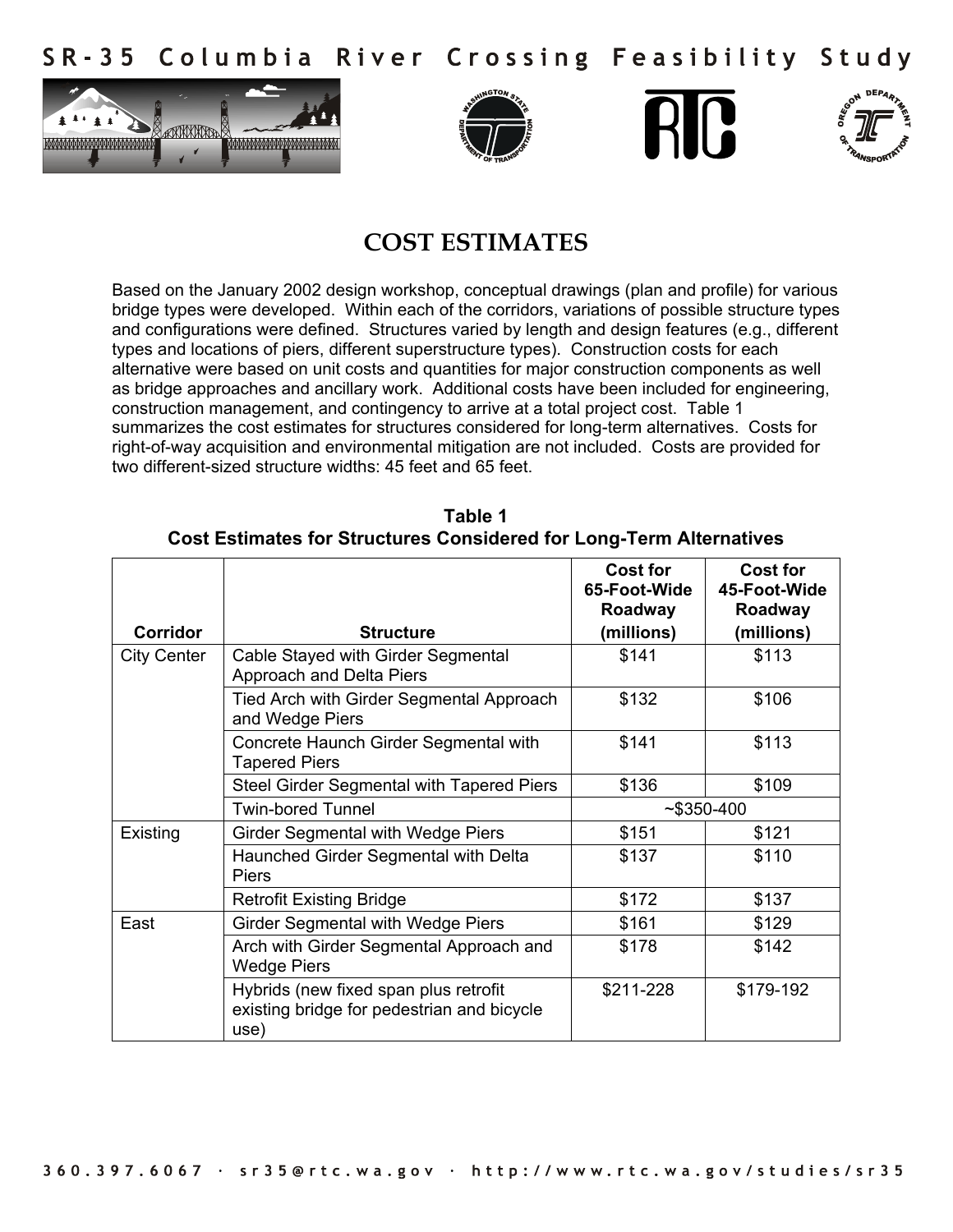Columbia River Crossing Feasibility Study S R - 3 5









## **COST ESTIMATES**

Based on the January 2002 design workshop, conceptual drawings (plan and profile) for various bridge types were developed. Within each of the corridors, variations of possible structure types and configurations were defined. Structures varied by length and design features (e.g., different types and locations of piers, different superstructure types). Construction costs for each alternative were based on unit costs and quantities for major construction components as well as bridge approaches and ancillary work. Additional costs have been included for engineering, construction management, and contingency to arrive at a total project cost. Table 1 summarizes the cost estimates for structures considered for long-term alternatives. Costs for right-of-way acquisition and environmental mitigation are not included. Costs are provided for two different-sized structure widths: 45 feet and 65 feet.

| Corridor           | <b>Structure</b>                                                                            | <b>Cost for</b><br>65-Foot-Wide<br>Roadway<br>(millions) | <b>Cost for</b><br>45-Foot-Wide<br>Roadway<br>(millions) |
|--------------------|---------------------------------------------------------------------------------------------|----------------------------------------------------------|----------------------------------------------------------|
| <b>City Center</b> | Cable Stayed with Girder Segmental<br>Approach and Delta Piers                              | \$141                                                    | \$113                                                    |
|                    | Tied Arch with Girder Segmental Approach<br>and Wedge Piers                                 | \$132                                                    | \$106                                                    |
|                    | Concrete Haunch Girder Segmental with<br><b>Tapered Piers</b>                               | \$141                                                    | \$113                                                    |
|                    | Steel Girder Segmental with Tapered Piers                                                   | \$136                                                    | \$109                                                    |
|                    | <b>Twin-bored Tunnel</b>                                                                    | $~5350-400$                                              |                                                          |
| Existing           | Girder Segmental with Wedge Piers                                                           | \$151                                                    | \$121                                                    |
|                    | Haunched Girder Segmental with Delta<br>Piers                                               | \$137                                                    | \$110                                                    |
|                    | <b>Retrofit Existing Bridge</b>                                                             | \$172                                                    | \$137                                                    |
| East               | <b>Girder Segmental with Wedge Piers</b>                                                    | \$161                                                    | \$129                                                    |
|                    | Arch with Girder Segmental Approach and<br><b>Wedge Piers</b>                               | \$178                                                    | \$142                                                    |
|                    | Hybrids (new fixed span plus retrofit<br>existing bridge for pedestrian and bicycle<br>use) | \$211-228                                                | \$179-192                                                |

**Table 1 Cost Estimates for Structures Considered for Long-Term Alternatives**